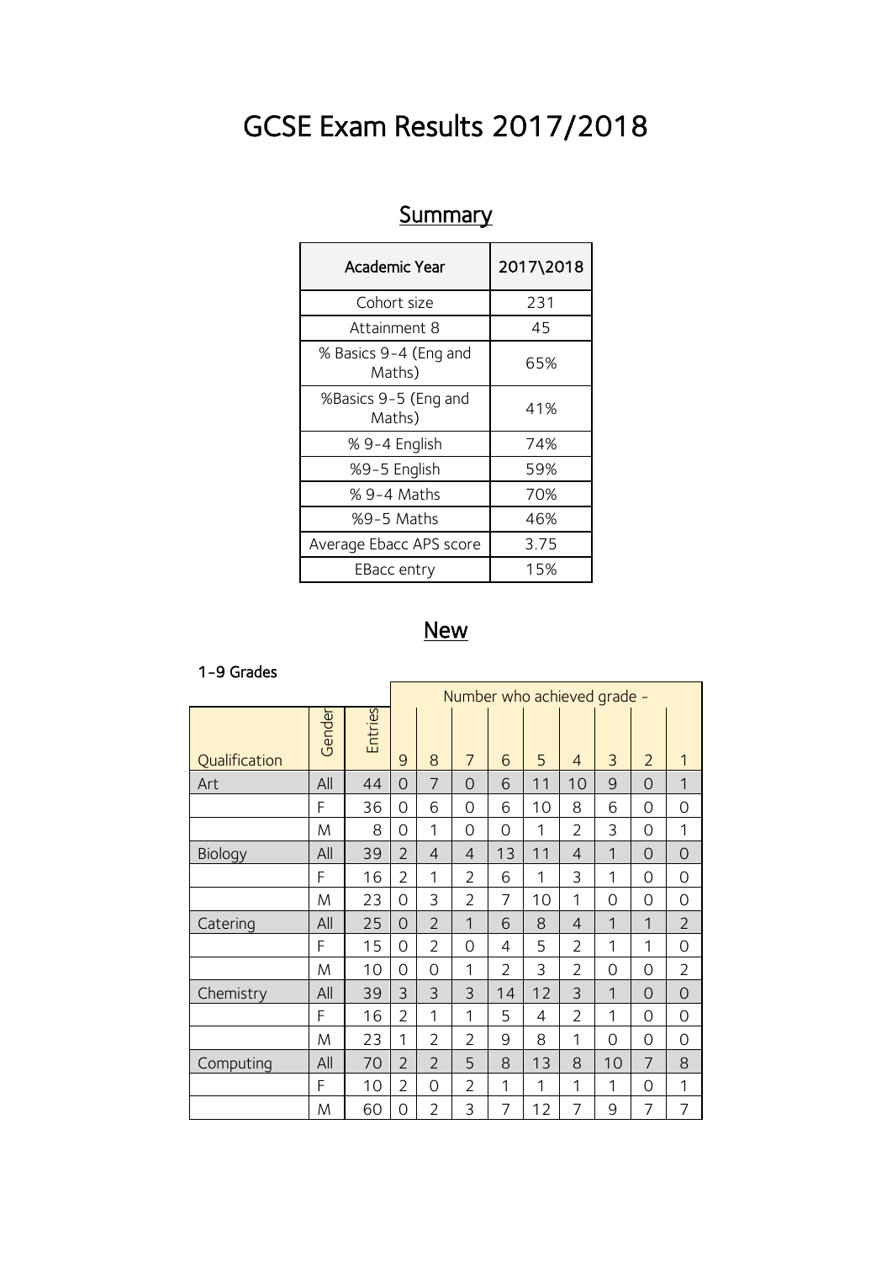# GCSE Exam Results 2017/2018

| Academic Year                   | 2017\2018 |  |  |  |
|---------------------------------|-----------|--|--|--|
| Cohort size                     | 231       |  |  |  |
| Attainment 8                    | 45        |  |  |  |
| % Basics 9-4 (Eng and<br>Maths) | 65%       |  |  |  |
| %Basics 9-5 (Eng and<br>Maths)  | 41%       |  |  |  |
| % 9-4 English                   | 74%       |  |  |  |
| %9-5 English                    | 59%       |  |  |  |
| % 9-4 Maths                     | 70%       |  |  |  |
| %9-5 Maths                      | 46%       |  |  |  |
| Average Ebacc APS score         | 3.75      |  |  |  |
| EBacc entry                     | 15%       |  |  |  |

## **Summary**

### **New**

#### 1-9 Grades

|               |        |                | Number who achieved grade - |                |                |                |    |                |              |                |                |
|---------------|--------|----------------|-----------------------------|----------------|----------------|----------------|----|----------------|--------------|----------------|----------------|
| Qualification | Gender | <b>Entries</b> | 9                           | 8              | 7              | 6              | 5  | $\overline{4}$ | 3            | $\overline{2}$ | 1              |
| Art           | All    | 44             | $\Omega$                    | $\overline{7}$ | $\Omega$       | 6              | 11 | 10             | 9            | $\Omega$       | 1              |
|               | F      | 36             | 0                           | 6              | $\Omega$       | 6              | 10 | 8              | 6            | $\Omega$       | 0              |
|               | M      | 8              | 0                           | 1              | 0              | 0              | 1  | $\overline{2}$ | 3            | $\overline{0}$ | 1              |
| Biology       | All    | 39             | $\overline{2}$              | $\overline{4}$ | $\overline{4}$ | 13             | 11 | $\overline{4}$ | $\mathbf{1}$ | $\overline{O}$ | 0              |
|               | F      | 16             | $\overline{2}$              | 1              | $\overline{2}$ | 6              | 1  | 3              | 1            | $\Omega$       | 0              |
|               | M      | 23             | 0                           | 3              | $\overline{2}$ | 7              | 10 | 1              | 0            | $\Omega$       | 0              |
| Catering      | All    | 25             | $\Omega$                    | $\overline{2}$ | 1              | 6              | 8  | $\overline{4}$ | 1            | 1              | $\overline{2}$ |
|               | F      | 15             | 0                           | $\overline{2}$ | 0              | 4              | 5  | $\overline{2}$ | 1            | 1              | 0              |
|               | M      | 10             | 0                           | 0              | $\mathbf{1}$   | $\overline{2}$ | 3  | $\overline{2}$ | 0            | $\overline{0}$ | $\overline{2}$ |
| Chemistry     | All    | 39             | 3                           | 3              | 3              | 14             | 12 | 3              | 1            | $\Omega$       | 0              |
|               | F      | 16             | $\overline{2}$              | 1              | 1              | 5              | 4  | $\overline{2}$ | $\mathbf 1$  | $\Omega$       | 0              |
|               | M      | 23             | 1                           | $\overline{2}$ | $\overline{2}$ | 9              | 8  | 1              | 0            | $\overline{0}$ | 0              |
| Computing     | All    | 70             | $\overline{2}$              | $\overline{2}$ | 5              | 8              | 13 | 8              | 10           | $\overline{7}$ | 8              |
|               | F      | 10             | $\overline{2}$              | 0              | $\overline{2}$ | 1              | 1  | 1              | 1            | $\Omega$       | 1              |
|               | M      | 60             | 0                           | $\overline{2}$ | 3              | 7              | 12 | 7              | 9            | 7              | 7              |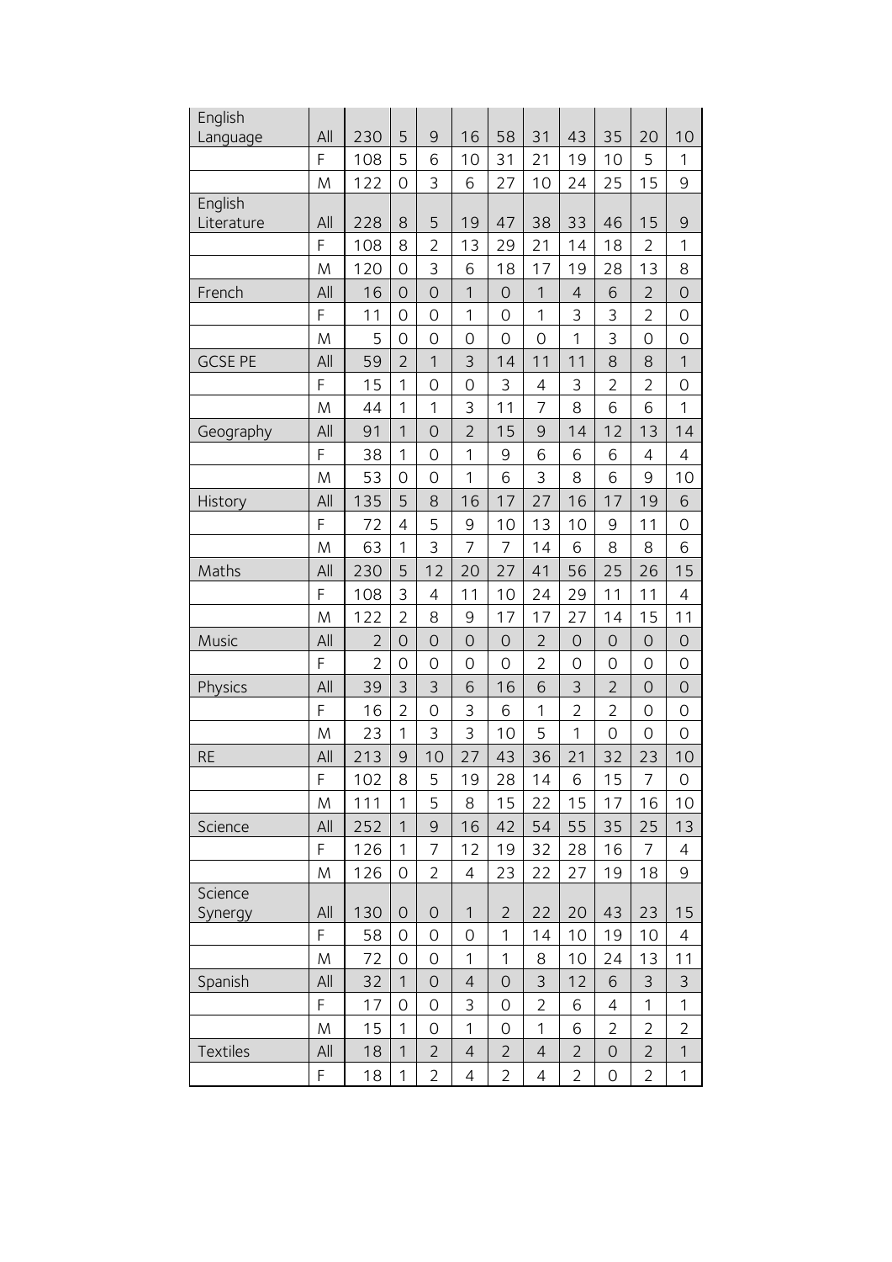| English               |     |                |                |                     |                |                |                |                |                |                |                 |
|-----------------------|-----|----------------|----------------|---------------------|----------------|----------------|----------------|----------------|----------------|----------------|-----------------|
| Language              | All | 230            | 5              | 9                   | 16             | 58             | 31             | 43             | 35             | 20             | 10              |
|                       | F   | 108            | 5              | 6                   | 10             | 31             | 21             | 19             | 10             | 5              | 1               |
|                       | M   | 122            | $\overline{O}$ | 3                   | 6              | 27             | 10             | 24             | 25             | 15             | 9               |
| English<br>Literature | All | 228            | 8              | 5                   | 19             | 47             | 38             | 33             | 46             | 15             | $\overline{9}$  |
|                       | F   | 108            | 8              | $\overline{2}$      | 13             | 29             | 21             | 14             | 18             | $\overline{2}$ | 1               |
|                       | M   | 120            | $\overline{O}$ | 3                   | 6              | 18             | 17             | 19             | 28             | 13             | 8               |
| French                | All | 16             | $\overline{O}$ | $\overline{O}$      | $\mathbf{1}$   | $\overline{O}$ | $\overline{1}$ | $\overline{4}$ | 6              | $\overline{2}$ | $\overline{O}$  |
|                       | F   | 11             | $\overline{O}$ | $\mathcal{O}$       | 1              | $\mathcal{O}$  | 1              | 3              | 3              | $\overline{2}$ | $\mathcal{O}$   |
|                       | M   | 5              | $\overline{O}$ | $\mathcal{O}$       | $\overline{O}$ | $\overline{O}$ | $\overline{O}$ | 1              | 3              | $\overline{O}$ | $\mathcal{O}$   |
| <b>GCSE PE</b>        | All | 59             | $\overline{2}$ | 1                   | 3              | 14             | 11             | 11             | 8              | 8              | 1               |
|                       | F   | 15             | 1              | $\overline{O}$      | $\overline{O}$ | 3              | 4              | 3              | $\overline{2}$ | $\overline{2}$ | $\mathcal{O}$   |
|                       | M   | 44             | 1              | 1                   | 3              | 11             | 7              | 8              | 6              | 6              | 1               |
| Geography             | All | 91             | $\mathbf{1}$   | $\overline{O}$      | $\overline{2}$ | 15             | 9              | 14             | 12             | 13             | 14              |
|                       | F   | 38             | 1              | 0                   | $\mathbf{1}$   | 9              | 6              | 6              | 6              | $\overline{4}$ | 4               |
|                       | M   | 53             | 0              | 0                   | $\mathbf{1}$   | 6              | 3              | 8              | 6              | 9              | 10              |
| History               | All | 135            | 5              | 8                   | 16             | 17             | 27             | 16             | 17             | 19             | $6\phantom{1}6$ |
|                       | F   | 72             | $\overline{4}$ | 5                   | 9              | 10             | 13             | 10             | 9              | 11             | $\mathcal{O}$   |
|                       | M   | 63             | $\overline{1}$ | 3                   | 7              | 7              | 14             | 6              | 8              | 8              | 6               |
| Maths                 | All | 230            | 5              | 12                  | 20             | 27             | 41             | 56             | 25             | 26             | 15              |
|                       | F   | 108            | 3              | 4                   | 11             | 10             | 24             | 29             | 11             | 11             | 4               |
|                       | M   | 122            | $\overline{2}$ | 8                   | 9              | 17             | 17             | 27             | 14             | 15             | 11              |
| Music                 | All | $\overline{2}$ | $\overline{O}$ | $\overline{O}$      | $\overline{O}$ | $\mathcal{O}$  | $\overline{2}$ | $\mathcal{O}$  | $\mathcal{O}$  | $\overline{O}$ | $\mathcal{O}$   |
|                       | F   | $\overline{2}$ | $\overline{O}$ | 0                   | $\overline{O}$ | $\overline{O}$ | $\overline{2}$ | $\mathcal{O}$  | $\mathcal{O}$  | $\overline{O}$ | $\mathcal{O}$   |
| Physics               | All | 39             | 3              | 3                   | 6              | 16             | 6              | 3              | $\overline{2}$ | $\overline{O}$ | $\overline{O}$  |
|                       | F   | 16             | $\overline{2}$ | $\overline{O}$      | 3              | 6              | 1              | $\overline{2}$ | $\overline{2}$ | $\overline{O}$ | $\mathcal{O}$   |
|                       | M   | 23             | 1              | 3                   | 3              | 10             | 5              | 1              | $\mathcal{O}$  | $\overline{O}$ | $\mathcal{O}$   |
| <b>RE</b>             | All | 213            | 9              | 10                  | 27             | 43             | 36             | 21             | 32             | 23             | 10              |
|                       | F   | 102            | 8              | 5                   | 19             | 28             | 14             | $\overline{6}$ | 15             | 7              | $\mathbf 0$     |
|                       | M   | 111            | 1              | 5                   | 8              | 15             | 22             | 15             | 17             | 16             | 10              |
| Science               | All | 252            | $\mathbf{1}$   | $\mathsf{Q}$        | 16             | 42             | 54             | 55             | 35             | 25             | 13              |
|                       | F   | 126            | 1              | 7                   | 12             | 19             | 32             | 28             | 16             | $\overline{7}$ | 4               |
|                       | M   | 126            | 0              | 2                   | 4              | 23             | 22             | 27             | 19             | 18             | 9               |
| Science               |     |                |                |                     |                |                |                |                |                |                |                 |
| Synergy               | All | 130            | $\overline{O}$ | $\mathcal{O}$       | 1              | $\overline{2}$ | 22             | 20             | 43             | 23             | 15              |
|                       | F   | 58             | $\overline{O}$ | 0                   | $\overline{0}$ | 1              | 14             | 10             | 19             | 10             | 4               |
|                       | M   | 72             | $\overline{O}$ | 0                   | 1              | 1              | 8              | 10             | 24             | 13             | 11              |
| Spanish               | All | 32             | 1              | $\mathsf{O}\xspace$ | $\overline{4}$ | $\overline{O}$ | $\mathsf 3$    | 12             | 6              | 3              | 3               |
|                       | F   | 17             | $\overline{O}$ | 0                   | 3              | $\mathcal{O}$  | $\overline{2}$ | 6              | 4              | 1              | 1               |
|                       | M   | 15             | 1              | 0                   | 1              | $\overline{O}$ | 1              | 6              | $\overline{2}$ | $\overline{2}$ | $\overline{2}$  |
| Textiles              | All | 18             | $\mathbf{1}$   | $\overline{2}$      | $\overline{4}$ | $\overline{2}$ | $\overline{4}$ | $\overline{2}$ | 0              | $\overline{2}$ | $\mathbf 1$     |
|                       | F   | 18             | 1              | $\overline{2}$      | 4              | $\overline{2}$ | 4              | $\overline{2}$ | $\mathcal{O}$  | $\overline{2}$ | 1               |